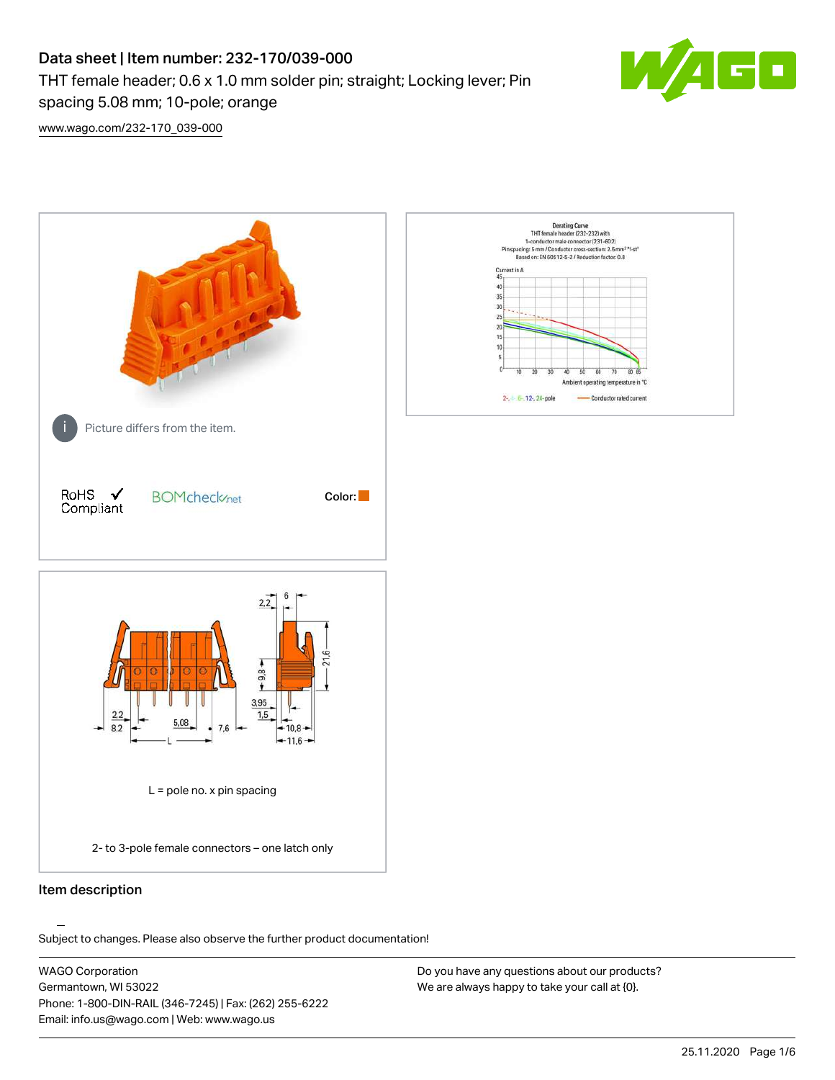## Data sheet | Item number: 232-170/039-000 THT female header; 0.6 x 1.0 mm solder pin; straight; Locking lever; Pin spacing 5.08 mm; 10-pole; orange



[www.wago.com/232-170\\_039-000](http://www.wago.com/232-170_039-000)



Item description

.<br>Subject to changes. Please also observe the further product documentation!

WAGO Corporation Germantown, WI 53022 Phone: 1-800-DIN-RAIL (346-7245) | Fax: (262) 255-6222 Email: info.us@wago.com | Web: www.wago.us

Do you have any questions about our products? We are always happy to take your call at {0}.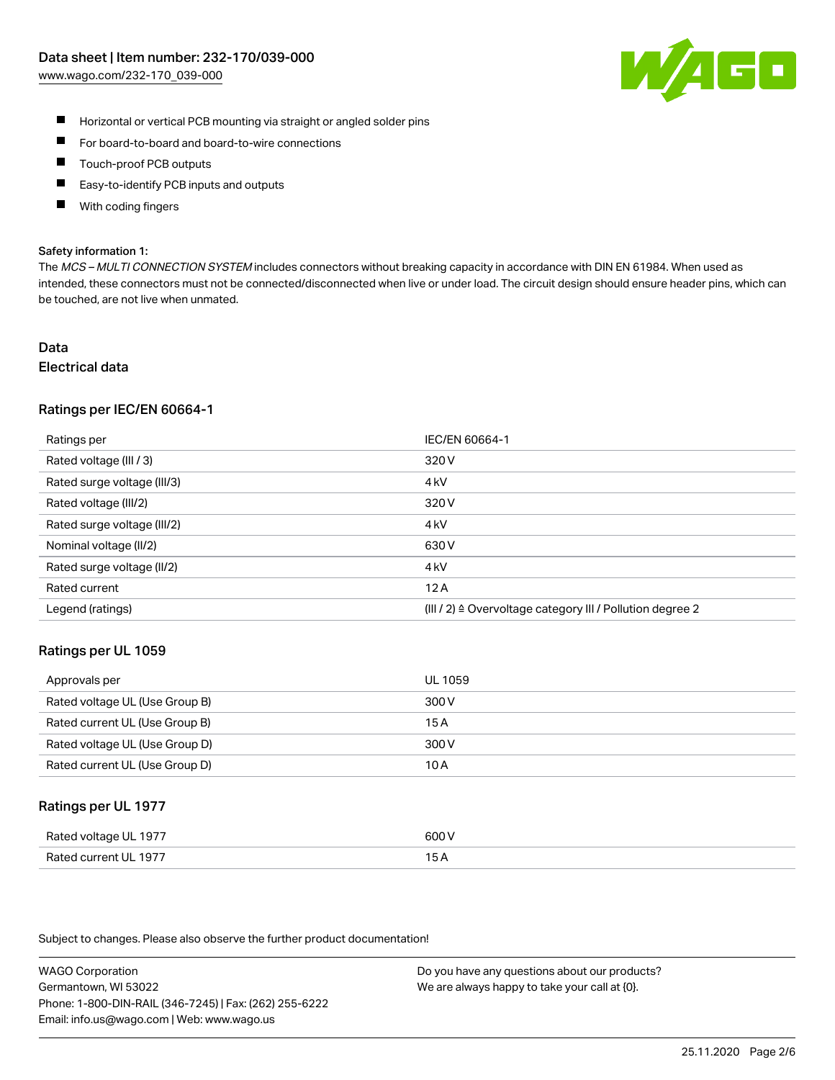

- $\blacksquare$ Horizontal or vertical PCB mounting via straight or angled solder pins
- $\blacksquare$ For board-to-board and board-to-wire connections
- Touch-proof PCB outputs  $\blacksquare$
- П Easy-to-identify PCB inputs and outputs
- П With coding fingers

#### Safety information 1:

The MCS - MULTI CONNECTION SYSTEM includes connectors without breaking capacity in accordance with DIN EN 61984. When used as intended, these connectors must not be connected/disconnected when live or under load. The circuit design should ensure header pins, which can be touched, are not live when unmated.

#### Data Electrical data

# Ratings per IEC/EN 60664-1

| Ratings per                 | IEC/EN 60664-1                                                       |
|-----------------------------|----------------------------------------------------------------------|
| Rated voltage (III / 3)     | 320 V                                                                |
| Rated surge voltage (III/3) | 4 <sub>k</sub> V                                                     |
| Rated voltage (III/2)       | 320 V                                                                |
| Rated surge voltage (III/2) | 4 <sub>k</sub> V                                                     |
| Nominal voltage (II/2)      | 630 V                                                                |
| Rated surge voltage (II/2)  | 4 <sub>k</sub> V                                                     |
| Rated current               | 12A                                                                  |
| Legend (ratings)            | (III / 2) $\triangleq$ Overvoltage category III / Pollution degree 2 |

#### Ratings per UL 1059

| Approvals per                  | UL 1059 |
|--------------------------------|---------|
| Rated voltage UL (Use Group B) | 300 V   |
| Rated current UL (Use Group B) | 15 A    |
| Rated voltage UL (Use Group D) | 300 V   |
| Rated current UL (Use Group D) | 10 A    |

#### Ratings per UL 1977

| Rated voltage UL 1977        | ANN N<br>. ור                                    |
|------------------------------|--------------------------------------------------|
| Rated<br>l current I II–1977 | ، ت<br>$\sim$ $\sim$ $\sim$ $\sim$ $\sim$ $\sim$ |

Subject to changes. Please also observe the further product documentation!

WAGO Corporation Germantown, WI 53022 Phone: 1-800-DIN-RAIL (346-7245) | Fax: (262) 255-6222 Email: info.us@wago.com | Web: www.wago.us

Do you have any questions about our products? We are always happy to take your call at {0}.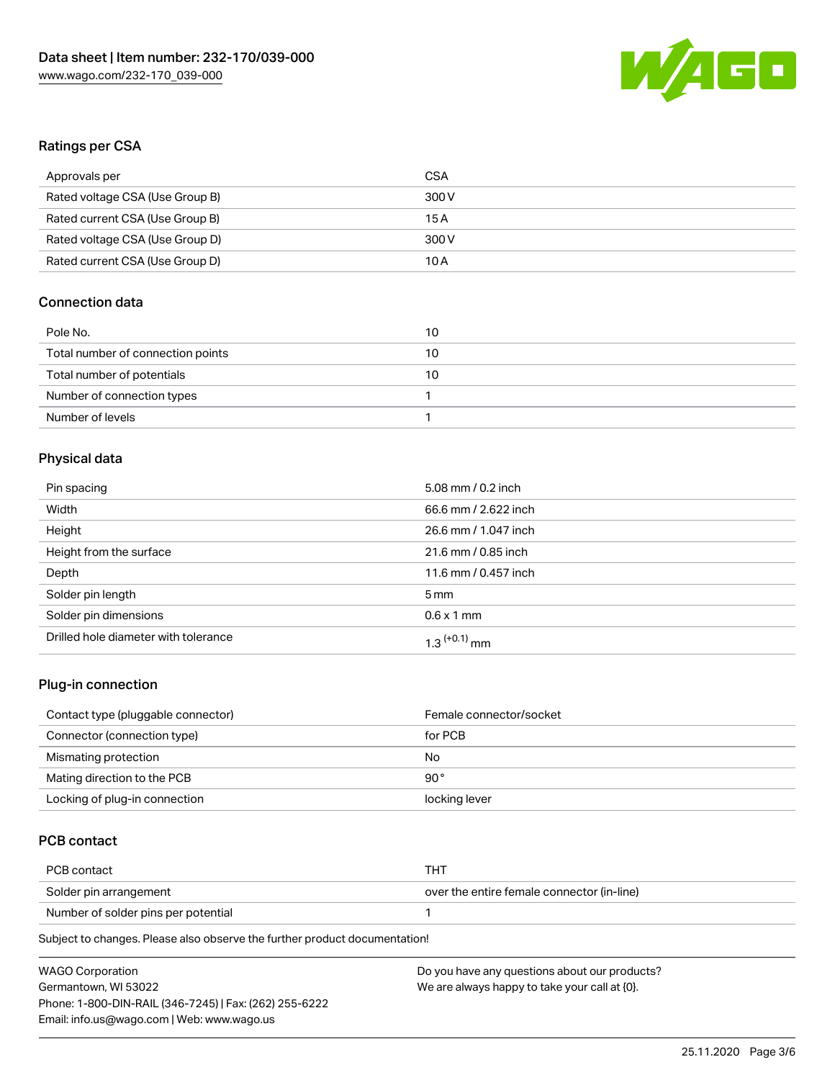

## Ratings per CSA

| Approvals per                   | CSA   |
|---------------------------------|-------|
| Rated voltage CSA (Use Group B) | 300 V |
| Rated current CSA (Use Group B) | 15 A  |
| Rated voltage CSA (Use Group D) | 300 V |
| Rated current CSA (Use Group D) | 10 A  |

## Connection data

| Pole No.                          | 10 |
|-----------------------------------|----|
| Total number of connection points | 10 |
| Total number of potentials        | 10 |
| Number of connection types        |    |
| Number of levels                  |    |

## Physical data

| Pin spacing                          | 5.08 mm / 0.2 inch         |
|--------------------------------------|----------------------------|
| Width                                | 66.6 mm / 2.622 inch       |
| Height                               | 26.6 mm / 1.047 inch       |
| Height from the surface              | 21.6 mm / 0.85 inch        |
| Depth                                | 11.6 mm / 0.457 inch       |
| Solder pin length                    | 5 <sub>mm</sub>            |
| Solder pin dimensions                | $0.6 \times 1$ mm          |
| Drilled hole diameter with tolerance | $1.3$ <sup>(+0.1)</sup> mm |

## Plug-in connection

| Contact type (pluggable connector) | Female connector/socket |
|------------------------------------|-------------------------|
| Connector (connection type)        | for PCB                 |
| Mismating protection               | No                      |
| Mating direction to the PCB        | 90 $^{\circ}$           |
| Locking of plug-in connection      | locking lever           |

## PCB contact

| PCB contact                         | THT                                        |
|-------------------------------------|--------------------------------------------|
| Solder pin arrangement              | over the entire female connector (in-line) |
| Number of solder pins per potential |                                            |

Subject to changes. Please also observe the further product documentation!

| <b>WAGO Corporation</b>                                | Do you have any questions about our products? |
|--------------------------------------------------------|-----------------------------------------------|
| Germantown, WI 53022                                   | We are always happy to take your call at {0}. |
| Phone: 1-800-DIN-RAIL (346-7245)   Fax: (262) 255-6222 |                                               |
| Email: info.us@wago.com   Web: www.wago.us             |                                               |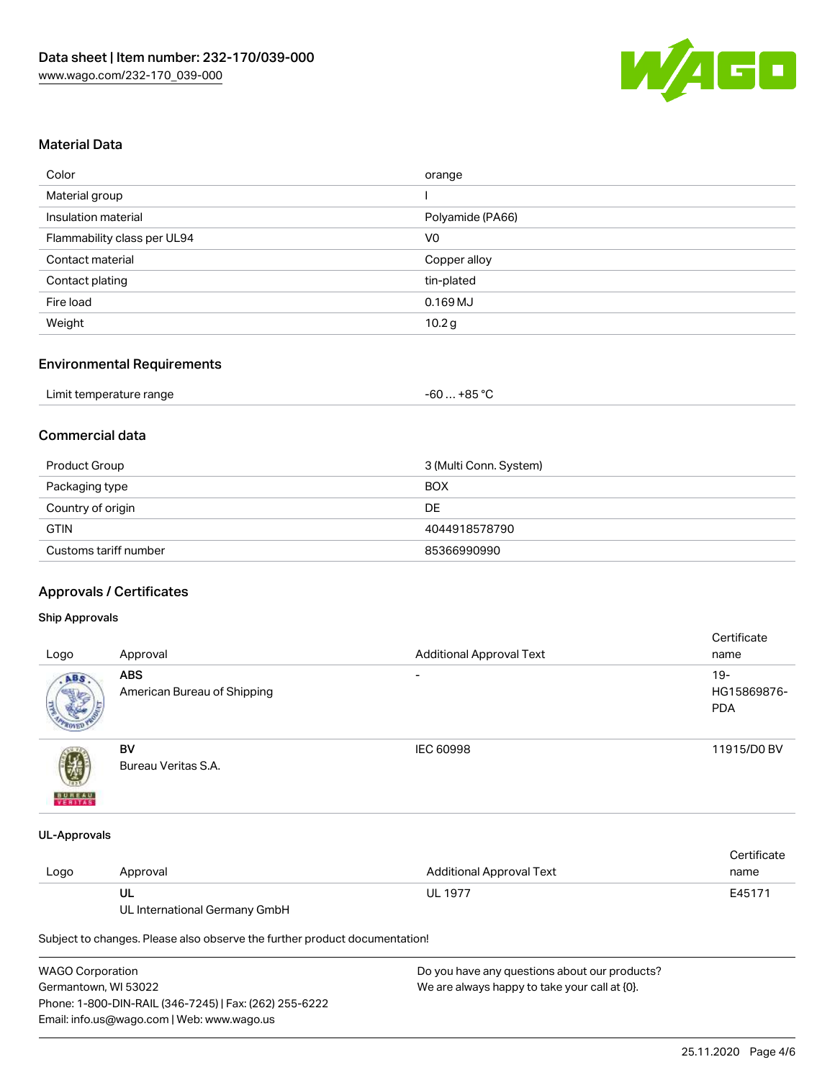

## Material Data

| Color                       | orange           |
|-----------------------------|------------------|
| Material group              |                  |
| Insulation material         | Polyamide (PA66) |
| Flammability class per UL94 | V <sub>0</sub>   |
| Contact material            | Copper alloy     |
| Contact plating             | tin-plated       |
| Fire load                   | $0.169$ MJ       |
| Weight                      | 10.2 g           |

#### Environmental Requirements

| Limit temperature range | $-60+85 °C$ |
|-------------------------|-------------|
|-------------------------|-------------|

## Commercial data

| Product Group         | 3 (Multi Conn. System) |
|-----------------------|------------------------|
| Packaging type        | <b>BOX</b>             |
| Country of origin     | DE                     |
| <b>GTIN</b>           | 4044918578790          |
| Customs tariff number | 85366990990            |

## Approvals / Certificates

#### Ship Approvals

| Logo          | Approval                                  | <b>Additional Approval Text</b> | Certificate<br>name                 |
|---------------|-------------------------------------------|---------------------------------|-------------------------------------|
| ABS           | <b>ABS</b><br>American Bureau of Shipping | $\overline{\phantom{a}}$        | $19 -$<br>HG15869876-<br><b>PDA</b> |
| <b>BUREAU</b> | BV<br>Bureau Veritas S.A.                 | IEC 60998                       | 11915/D0 BV                         |

#### UL-Approvals

|      |          |                          | Certificate |
|------|----------|--------------------------|-------------|
| Logo | Approval | Additional Approval Text | name        |
|      | UL       | <b>UL 1977</b>           | E45171      |

UL International Germany GmbH

Subject to changes. Please also observe the further product documentation!

| WAGO Corporation                                       | Do you have any questions about our products? |
|--------------------------------------------------------|-----------------------------------------------|
| Germantown. WI 53022                                   | We are always happy to take your call at {0}. |
| Phone: 1-800-DIN-RAIL (346-7245)   Fax: (262) 255-6222 |                                               |
| Email: info.us@wago.com   Web: www.wago.us             |                                               |
|                                                        |                                               |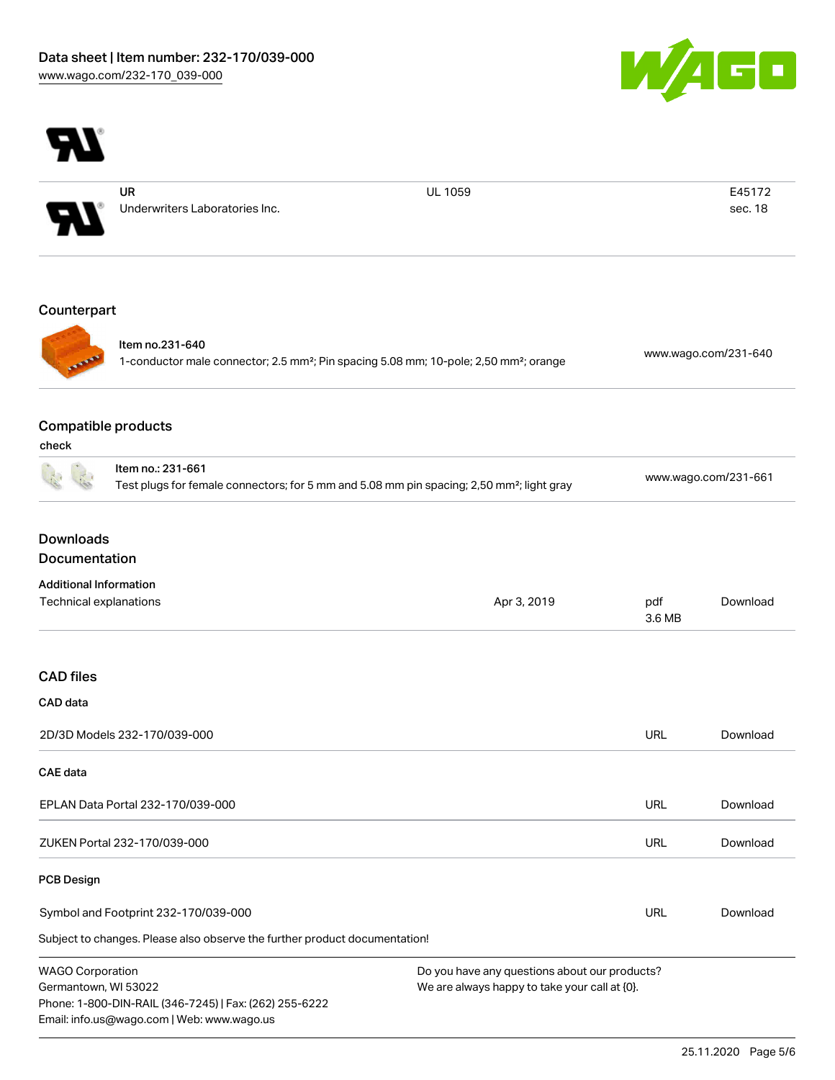



UR Underwriters Laboratories Inc. UL 1059 E45172

sec. 18

## Counterpart



Item no.231-640 1-conductor male connector; 2.5 mm²; Pin spacing 5.08 mm; 10-pole; 2,50 mm²; orange [www.wago.com/231-640](https://www.wago.com/231-640)

## Compatible products

Email: info.us@wago.com | Web: www.wago.us

| ×<br>۰, | ×<br>۰.<br>× | ۰, |  |
|---------|--------------|----|--|

|                                   | Item no.: 231-661                                                                                                                                                                | Test plugs for female connectors; for 5 mm and 5.08 mm pin spacing; 2,50 mm <sup>2</sup> ; light gray |               | www.wago.com/231-661 |  |
|-----------------------------------|----------------------------------------------------------------------------------------------------------------------------------------------------------------------------------|-------------------------------------------------------------------------------------------------------|---------------|----------------------|--|
| <b>Downloads</b><br>Documentation |                                                                                                                                                                                  |                                                                                                       |               |                      |  |
| <b>Additional Information</b>     |                                                                                                                                                                                  |                                                                                                       |               |                      |  |
| Technical explanations            |                                                                                                                                                                                  | Apr 3, 2019                                                                                           | pdf<br>3.6 MB | Download             |  |
| <b>CAD files</b>                  |                                                                                                                                                                                  |                                                                                                       |               |                      |  |
| CAD data                          |                                                                                                                                                                                  |                                                                                                       |               |                      |  |
|                                   | 2D/3D Models 232-170/039-000                                                                                                                                                     |                                                                                                       | <b>URL</b>    | Download             |  |
| <b>CAE</b> data                   |                                                                                                                                                                                  |                                                                                                       |               |                      |  |
|                                   | EPLAN Data Portal 232-170/039-000                                                                                                                                                |                                                                                                       | <b>URL</b>    | Download             |  |
|                                   | ZUKEN Portal 232-170/039-000                                                                                                                                                     |                                                                                                       | URL           | Download             |  |
| <b>PCB Design</b>                 |                                                                                                                                                                                  |                                                                                                       |               |                      |  |
|                                   | Symbol and Footprint 232-170/039-000                                                                                                                                             |                                                                                                       | <b>URL</b>    | Download             |  |
|                                   | Subject to changes. Please also observe the further product documentation!                                                                                                       |                                                                                                       |               |                      |  |
| <b>WAGO Corporation</b>           | Do you have any questions about our products?<br>Germantown, WI 53022<br>We are always happy to take your call at {0}.<br>Phone: 1-800-DIN-RAIL (346-7245)   Fax: (262) 255-6222 |                                                                                                       |               |                      |  |